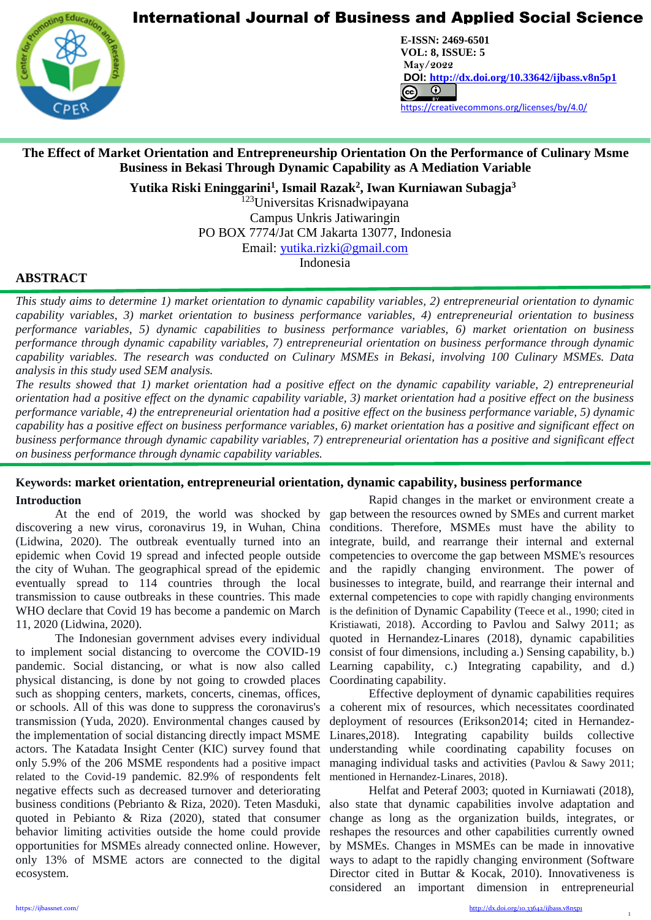

**CENTER FOR PROMOTION EDUCATION AND RESEARCH (CPER)** USA [www.cpernet.org](http://www.cpernet.org/)/www.cpernet.org/www.cpernet.org/www.cpernet.org/www.cpernet.org/www.cpernet.org/www.cpernet.org/www.cpernet.org/www.cpernet.org/www.cpernet.org/www.c **E-ISSN: 2469-6501 VOL: 8, ISSUE: 5 May/2022 DOI: <http://dx.doi.org/10.33642/ijbass.v8n5p1>**  <https://creativecommons.org/licenses/by/4.0/>

# **The Effect of Market Orientation and Entrepreneurship Orientation On the Performance of Culinary Msme Business in Bekasi Through Dynamic Capability as A Mediation Variable**

**Yutika Riski Eninggarini<sup>1</sup> , Ismail Razak<sup>2</sup> , Iwan Kurniawan Subagja<sup>3</sup>**

<sup>123</sup>Universitas Krisnadwipayana Campus Unkris Jatiwaringin PO BOX 7774/Jat CM Jakarta 13077, Indonesia

Email: [yutika.rizki@gmail.com](mailto:yutika.rizki@gmail.com)

Indonesia

## **ABSTRACT**

L

*This study aims to determine 1) market orientation to dynamic capability variables, 2) entrepreneurial orientation to dynamic capability variables, 3) market orientation to business performance variables, 4) entrepreneurial orientation to business performance variables, 5) dynamic capabilities to business performance variables, 6) market orientation on business performance through dynamic capability variables, 7) entrepreneurial orientation on business performance through dynamic capability variables. The research was conducted on Culinary MSMEs in Bekasi, involving 100 Culinary MSMEs. Data analysis in this study used SEM analysis.*

*The results showed that 1) market orientation had a positive effect on the dynamic capability variable, 2) entrepreneurial orientation had a positive effect on the dynamic capability variable, 3) market orientation had a positive effect on the business performance variable, 4) the entrepreneurial orientation had a positive effect on the business performance variable, 5) dynamic capability has a positive effect on business performance variables, 6) market orientation has a positive and significant effect on business performance through dynamic capability variables, 7) entrepreneurial orientation has a positive and significant effect on business performance through dynamic capability variables.*

# **Keywords: market orientation, entrepreneurial orientation, dynamic capability, business performance**

### **Introduction**

discovering a new virus, coronavirus 19, in Wuhan, China (Lidwina, 2020). The outbreak eventually turned into an epidemic when Covid 19 spread and infected people outside the city of Wuhan. The geographical spread of the epidemic eventually spread to 114 countries through the local transmission to cause outbreaks in these countries. This made WHO declare that Covid 19 has become a pandemic on March 11, 2020 (Lidwina, 2020).

The Indonesian government advises every individual to implement social distancing to overcome the COVID-19 pandemic. Social distancing, or what is now also called Learning capability, c.) Integrating capability, and d.) physical distancing, is done by not going to crowded places Coordinating capability. such as shopping centers, markets, concerts, cinemas, offices, or schools. All of this was done to suppress the coronavirus's transmission (Yuda, 2020). Environmental changes caused by the implementation of social distancing directly impact MSME actors. The Katadata Insight Center (KIC) survey found that only 5.9% of the 206 MSME respondents had a positive impact related to the Covid-19 pandemic. 82.9% of respondents felt mentioned in Hernandez-Linares, 2018). negative effects such as decreased turnover and deteriorating business conditions (Pebrianto & Riza, 2020). Teten Masduki, quoted in Pebianto & Riza (2020), stated that consumer behavior limiting activities outside the home could provide opportunities for MSMEs already connected online. However, only 13% of MSME actors are connected to the digital ecosystem.

At the end of 2019, the world was shocked by gap between the resources owned by SMEs and current market Rapid changes in the market or environment create a conditions. Therefore, MSMEs must have the ability to integrate, build, and rearrange their internal and external competencies to overcome the gap between MSME's resources and the rapidly changing environment. The power of businesses to integrate, build, and rearrange their internal and external competencies to cope with rapidly changing environments is the definition of Dynamic Capability (Teece et al., 1990; cited in Kristiawati, 2018). According to Pavlou and Salwy 2011; as quoted in Hernandez-Linares (2018), dynamic capabilities consist of four dimensions, including a.) Sensing capability, b.)

Effective deployment of dynamic capabilities requires a coherent mix of resources, which necessitates coordinated deployment of resources (Erikson2014; cited in Hernandez-Linares,2018). Integrating capability builds collective understanding while coordinating capability focuses on managing individual tasks and activities (Pavlou & Sawy 2011;

Helfat and Peteraf 2003; quoted in Kurniawati (2018), also state that dynamic capabilities involve adaptation and change as long as the organization builds, integrates, or reshapes the resources and other capabilities currently owned by MSMEs. Changes in MSMEs can be made in innovative ways to adapt to the rapidly changing environment (Software Director cited in Buttar & Kocak, 2010). Innovativeness is considered an important dimension in entrepreneurial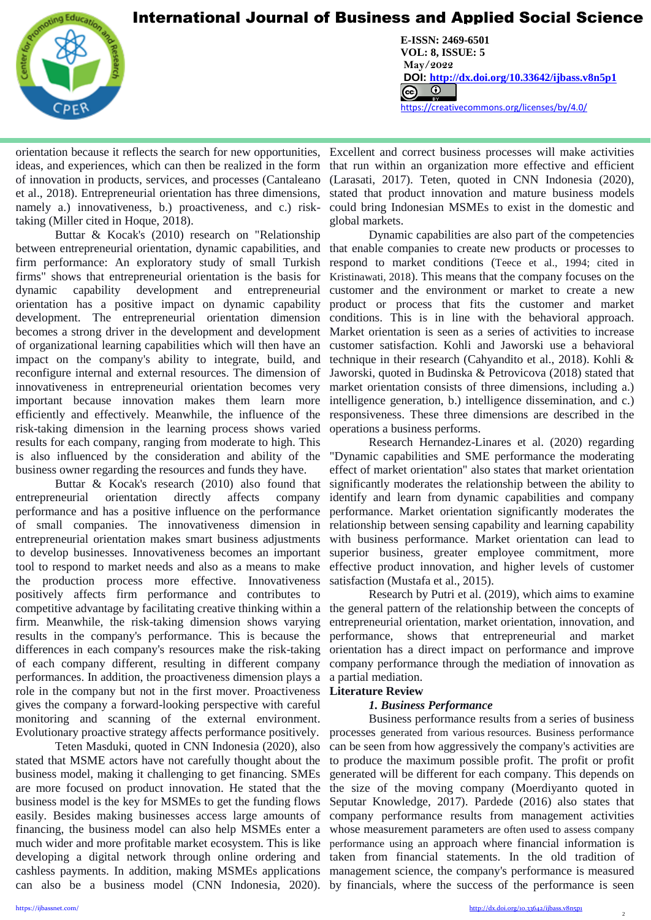

L

**CENTER FOR PROMOTION EDUCATION AND RESEARCH (CPER)** USA [www.cpernet.org](http://www.cpernet.org/)/www.cpernet.org/www.cpernet.org/www.cpernet.org/www.cpernet.org/www.cpernet.org/www.cpernet.org/www.cpernet.org/www.cpernet.org/www.cpernet.org/www.c **E-ISSN: 2469-6501 VOL: 8, ISSUE: 5 May/2022 DOI: <http://dx.doi.org/10.33642/ijbass.v8n5p1>**  <https://creativecommons.org/licenses/by/4.0/>

ideas, and experiences, which can then be realized in the form of innovation in products, services, and processes (Cantaleano et al., 2018). Entrepreneurial orientation has three dimensions, namely a.) innovativeness, b.) proactiveness, and c.) risktaking (Miller cited in Hoque, 2018).

Buttar & Kocak's (2010) research on "Relationship between entrepreneurial orientation, dynamic capabilities, and firm performance: An exploratory study of small Turkish firms" shows that entrepreneurial orientation is the basis for dynamic capability development and entrepreneurial orientation has a positive impact on dynamic capability development. The entrepreneurial orientation dimension becomes a strong driver in the development and development of organizational learning capabilities which will then have an impact on the company's ability to integrate, build, and reconfigure internal and external resources. The dimension of innovativeness in entrepreneurial orientation becomes very important because innovation makes them learn more efficiently and effectively. Meanwhile, the influence of the risk-taking dimension in the learning process shows varied results for each company, ranging from moderate to high. This is also influenced by the consideration and ability of the business owner regarding the resources and funds they have.

Buttar & Kocak's research (2010) also found that entrepreneurial orientation directly affects company performance and has a positive influence on the performance of small companies. The innovativeness dimension in entrepreneurial orientation makes smart business adjustments to develop businesses. Innovativeness becomes an important tool to respond to market needs and also as a means to make the production process more effective. Innovativeness positively affects firm performance and contributes to competitive advantage by facilitating creative thinking within a firm. Meanwhile, the risk-taking dimension shows varying results in the company's performance. This is because the differences in each company's resources make the risk-taking of each company different, resulting in different company performances. In addition, the proactiveness dimension plays a a partial mediation. role in the company but not in the first mover. Proactiveness gives the company a forward-looking perspective with careful monitoring and scanning of the external environment. Evolutionary proactive strategy affects performance positively.

Teten Masduki, quoted in CNN Indonesia (2020), also stated that MSME actors have not carefully thought about the business model, making it challenging to get financing. SMEs are more focused on product innovation. He stated that the business model is the key for MSMEs to get the funding flows easily. Besides making businesses access large amounts of financing, the business model can also help MSMEs enter a much wider and more profitable market ecosystem. This is like developing a digital network through online ordering and can also be a business model (CNN Indonesia, 2020). by financials, where the success of the performance is seen

orientation because it reflects the search for new opportunities, Excellent and correct business processes will make activities that run within an organization more effective and efficient (Larasati, 2017). Teten, quoted in CNN Indonesia (2020), stated that product innovation and mature business models could bring Indonesian MSMEs to exist in the domestic and global markets.

> Dynamic capabilities are also part of the competencies that enable companies to create new products or processes to respond to market conditions (Teece et al., 1994; cited in Kristinawati, 2018). This means that the company focuses on the customer and the environment or market to create a new product or process that fits the customer and market conditions. This is in line with the behavioral approach. Market orientation is seen as a series of activities to increase customer satisfaction. Kohli and Jaworski use a behavioral technique in their research (Cahyandito et al., 2018). Kohli & Jaworski, quoted in Budinska & Petrovicova (2018) stated that market orientation consists of three dimensions, including a.) intelligence generation, b.) intelligence dissemination, and c.) responsiveness. These three dimensions are described in the operations a business performs.

> Research Hernandez-Linares et al. (2020) regarding "Dynamic capabilities and SME performance the moderating effect of market orientation" also states that market orientation significantly moderates the relationship between the ability to identify and learn from dynamic capabilities and company performance. Market orientation significantly moderates the relationship between sensing capability and learning capability with business performance. Market orientation can lead to superior business, greater employee commitment, more effective product innovation, and higher levels of customer satisfaction (Mustafa et al., 2015).

> Research by Putri et al. (2019), which aims to examine the general pattern of the relationship between the concepts of entrepreneurial orientation, market orientation, innovation, and performance, shows that entrepreneurial and market orientation has a direct impact on performance and improve company performance through the mediation of innovation as

### **Literature Review**

### *1. Business Performance*

cashless payments. In addition, making MSMEs applications management science, the company's performance is measured Business performance results from a series of business processes generated from various resources. Business performance can be seen from how aggressively the company's activities are to produce the maximum possible profit. The profit or profit generated will be different for each company. This depends on the size of the moving company (Moerdiyanto quoted in Seputar Knowledge, 2017). Pardede (2016) also states that company performance results from management activities whose measurement parameters are often used to assess company performance using an approach where financial information is taken from financial statements. In the old tradition of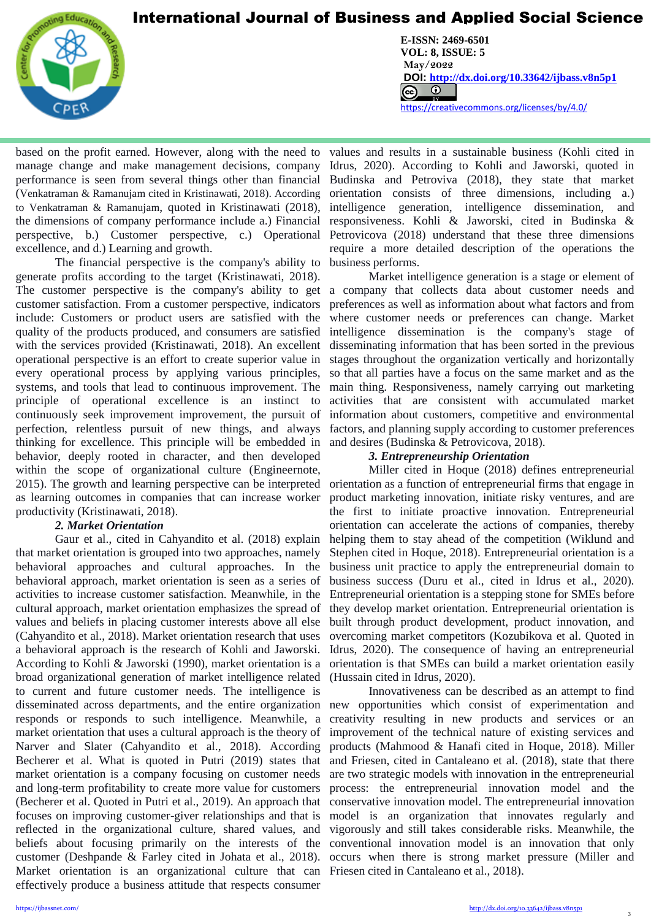

L

**CENTER FOR PROMOTION EDUCATION AND RESEARCH (CPER)** USA [www.cpernet.org](http://www.cpernet.org/)/www.cpernet.org/www.cpernet.org/www.cpernet.org/www.cpernet.org/www.cpernet.org/www.cpernet.org/www.cpernet.org/www.cpernet.org/www.cpernet.org/www.c **E-ISSN: 2469-6501 VOL: 8, ISSUE: 5 May/2022 DOI: <http://dx.doi.org/10.33642/ijbass.v8n5p1>**  <https://creativecommons.org/licenses/by/4.0/>

based on the profit earned. However, along with the need to manage change and make management decisions, company performance is seen from several things other than financial (Venkatraman & Ramanujam cited in Kristinawati, 2018). According to Venkatraman & Ramanujam, quoted in Kristinawati (2018), the dimensions of company performance include a.) Financial perspective, b.) Customer perspective, c.) Operational excellence, and d.) Learning and growth.

The financial perspective is the company's ability to generate profits according to the target (Kristinawati, 2018). The customer perspective is the company's ability to get customer satisfaction. From a customer perspective, indicators include: Customers or product users are satisfied with the quality of the products produced, and consumers are satisfied with the services provided (Kristinawati, 2018). An excellent operational perspective is an effort to create superior value in every operational process by applying various principles, systems, and tools that lead to continuous improvement. The principle of operational excellence is an instinct to continuously seek improvement improvement, the pursuit of perfection, relentless pursuit of new things, and always thinking for excellence. This principle will be embedded in behavior, deeply rooted in character, and then developed within the scope of organizational culture (Engineernote, 2015). The growth and learning perspective can be interpreted as learning outcomes in companies that can increase worker productivity (Kristinawati, 2018).

### *2. Market Orientation*

Gaur et al., cited in Cahyandito et al. (2018) explain that market orientation is grouped into two approaches, namely behavioral approaches and cultural approaches. In the behavioral approach, market orientation is seen as a series of activities to increase customer satisfaction. Meanwhile, in the cultural approach, market orientation emphasizes the spread of values and beliefs in placing customer interests above all else (Cahyandito et al., 2018). Market orientation research that uses a behavioral approach is the research of Kohli and Jaworski. According to Kohli & Jaworski (1990), market orientation is a broad organizational generation of market intelligence related to current and future customer needs. The intelligence is disseminated across departments, and the entire organization responds or responds to such intelligence. Meanwhile, a market orientation that uses a cultural approach is the theory of Narver and Slater (Cahyandito et al., 2018). According Becherer et al. What is quoted in Putri (2019) states that market orientation is a company focusing on customer needs and long-term profitability to create more value for customers (Becherer et al. Quoted in Putri et al., 2019). An approach that focuses on improving customer-giver relationships and that is reflected in the organizational culture, shared values, and beliefs about focusing primarily on the interests of the conventional innovation model is an innovation that only customer (Deshpande & Farley cited in Johata et al., 2018). occurs when there is strong market pressure (Miller and Market orientation is an organizational culture that can Friesen cited in Cantaleano et al., 2018). effectively produce a business attitude that respects consumer

values and results in a sustainable business (Kohli cited in Idrus, 2020). According to Kohli and Jaworski, quoted in Budinska and Petroviva (2018), they state that market orientation consists of three dimensions, including a.) intelligence generation, intelligence dissemination, and responsiveness. Kohli & Jaworski, cited in Budinska & Petrovicova (2018) understand that these three dimensions require a more detailed description of the operations the business performs.

Market intelligence generation is a stage or element of a company that collects data about customer needs and preferences as well as information about what factors and from where customer needs or preferences can change. Market intelligence dissemination is the company's stage of disseminating information that has been sorted in the previous stages throughout the organization vertically and horizontally so that all parties have a focus on the same market and as the main thing. Responsiveness, namely carrying out marketing activities that are consistent with accumulated market information about customers, competitive and environmental factors, and planning supply according to customer preferences and desires (Budinska & Petrovicova, 2018).

### *3. Entrepreneurship Orientation*

Miller cited in Hoque (2018) defines entrepreneurial orientation as a function of entrepreneurial firms that engage in product marketing innovation, initiate risky ventures, and are the first to initiate proactive innovation. Entrepreneurial orientation can accelerate the actions of companies, thereby helping them to stay ahead of the competition (Wiklund and Stephen cited in Hoque, 2018). Entrepreneurial orientation is a business unit practice to apply the entrepreneurial domain to business success (Duru et al., cited in Idrus et al., 2020). Entrepreneurial orientation is a stepping stone for SMEs before they develop market orientation. Entrepreneurial orientation is built through product development, product innovation, and overcoming market competitors (Kozubikova et al. Quoted in Idrus, 2020). The consequence of having an entrepreneurial orientation is that SMEs can build a market orientation easily (Hussain cited in Idrus, 2020).

Innovativeness can be described as an attempt to find new opportunities which consist of experimentation and creativity resulting in new products and services or an improvement of the technical nature of existing services and products (Mahmood & Hanafi cited in Hoque, 2018). Miller and Friesen, cited in Cantaleano et al. (2018), state that there are two strategic models with innovation in the entrepreneurial process: the entrepreneurial innovation model and the conservative innovation model. The entrepreneurial innovation model is an organization that innovates regularly and vigorously and still takes considerable risks. Meanwhile, the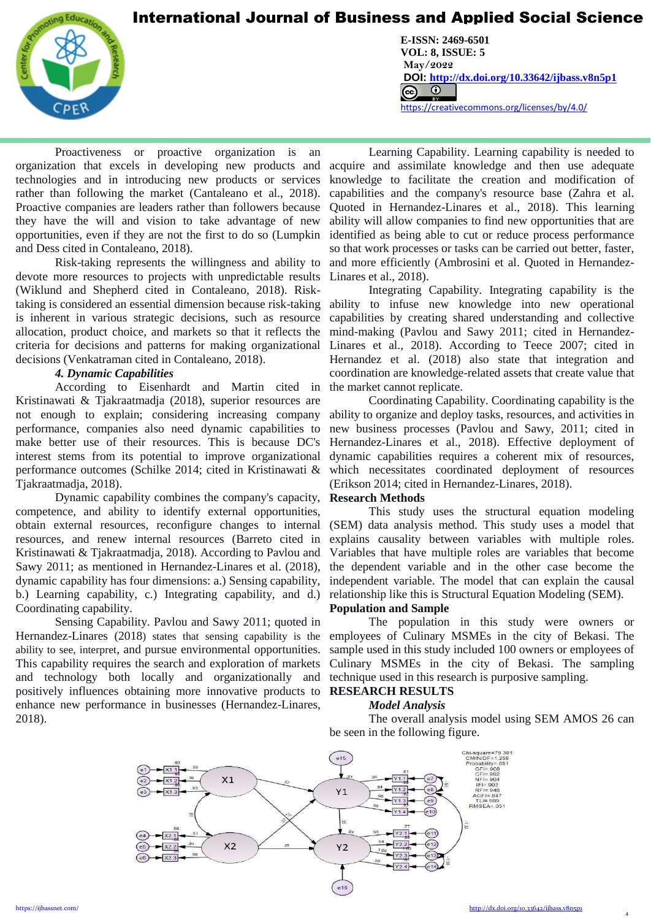

L

**CENTER FOR PROMOTION EDUCATION AND RESEARCH (CPER)** USA [www.cpernet.org](http://www.cpernet.org/)/www.cpernet.org/www.cpernet.org/www.cpernet.org/www.cpernet.org/www.cpernet.org/www.cpernet.org/www.cpernet.org/www.cpernet.org/www.cpernet.org/www.c **E-ISSN: 2469-6501 VOL: 8, ISSUE: 5 May/2022 DOI: <http://dx.doi.org/10.33642/ijbass.v8n5p1>**  <https://creativecommons.org/licenses/by/4.0/>

Proactiveness or proactive organization is an organization that excels in developing new products and technologies and in introducing new products or services rather than following the market (Cantaleano et al., 2018). Proactive companies are leaders rather than followers because they have the will and vision to take advantage of new opportunities, even if they are not the first to do so (Lumpkin and Dess cited in Contaleano, 2018).

Risk-taking represents the willingness and ability to devote more resources to projects with unpredictable results (Wiklund and Shepherd cited in Contaleano, 2018). Risktaking is considered an essential dimension because risk-taking is inherent in various strategic decisions, such as resource allocation, product choice, and markets so that it reflects the criteria for decisions and patterns for making organizational decisions (Venkatraman cited in Contaleano, 2018).

### *4. Dynamic Capabilities*

According to Eisenhardt and Martin cited in Kristinawati & Tjakraatmadja (2018), superior resources are not enough to explain; considering increasing company performance, companies also need dynamic capabilities to make better use of their resources. This is because DC's interest stems from its potential to improve organizational performance outcomes (Schilke 2014; cited in Kristinawati & Tjakraatmadja, 2018).

Dynamic capability combines the company's capacity, **Research Methods** competence, and ability to identify external opportunities, obtain external resources, reconfigure changes to internal resources, and renew internal resources (Barreto cited in Kristinawati & Tjakraatmadja, 2018). According to Pavlou and Sawy 2011; as mentioned in Hernandez-Linares et al. (2018), dynamic capability has four dimensions: a.) Sensing capability, b.) Learning capability, c.) Integrating capability, and d.) Coordinating capability.

Sensing Capability. Pavlou and Sawy 2011; quoted in Hernandez-Linares (2018) states that sensing capability is the ability to see, interpret, and pursue environmental opportunities. This capability requires the search and exploration of markets and technology both locally and organizationally and positively influences obtaining more innovative products to enhance new performance in businesses (Hernandez-Linares, 2018).

Learning Capability. Learning capability is needed to acquire and assimilate knowledge and then use adequate knowledge to facilitate the creation and modification of capabilities and the company's resource base (Zahra et al. Quoted in Hernandez-Linares et al., 2018). This learning ability will allow companies to find new opportunities that are identified as being able to cut or reduce process performance so that work processes or tasks can be carried out better, faster, and more efficiently (Ambrosini et al. Quoted in Hernandez-Linares et al., 2018).

Integrating Capability. Integrating capability is the ability to infuse new knowledge into new operational capabilities by creating shared understanding and collective mind-making (Pavlou and Sawy 2011; cited in Hernandez-Linares et al., 2018). According to Teece 2007; cited in Hernandez et al. (2018) also state that integration and coordination are knowledge-related assets that create value that the market cannot replicate.

Coordinating Capability. Coordinating capability is the ability to organize and deploy tasks, resources, and activities in new business processes (Pavlou and Sawy, 2011; cited in Hernandez-Linares et al., 2018). Effective deployment of dynamic capabilities requires a coherent mix of resources, which necessitates coordinated deployment of resources (Erikson 2014; cited in Hernandez-Linares, 2018).

This study uses the structural equation modeling (SEM) data analysis method. This study uses a model that explains causality between variables with multiple roles. Variables that have multiple roles are variables that become the dependent variable and in the other case become the independent variable. The model that can explain the causal relationship like this is Structural Equation Modeling (SEM).

### **Population and Sample**

The population in this study were owners or employees of Culinary MSMEs in the city of Bekasi. The sample used in this study included 100 owners or employees of Culinary MSMEs in the city of Bekasi. The sampling technique used in this research is purposive sampling.

### **RESEARCH RESULTS** *Model Analysis*

The overall analysis model using SEM AMOS 26 can be seen in the following figure.

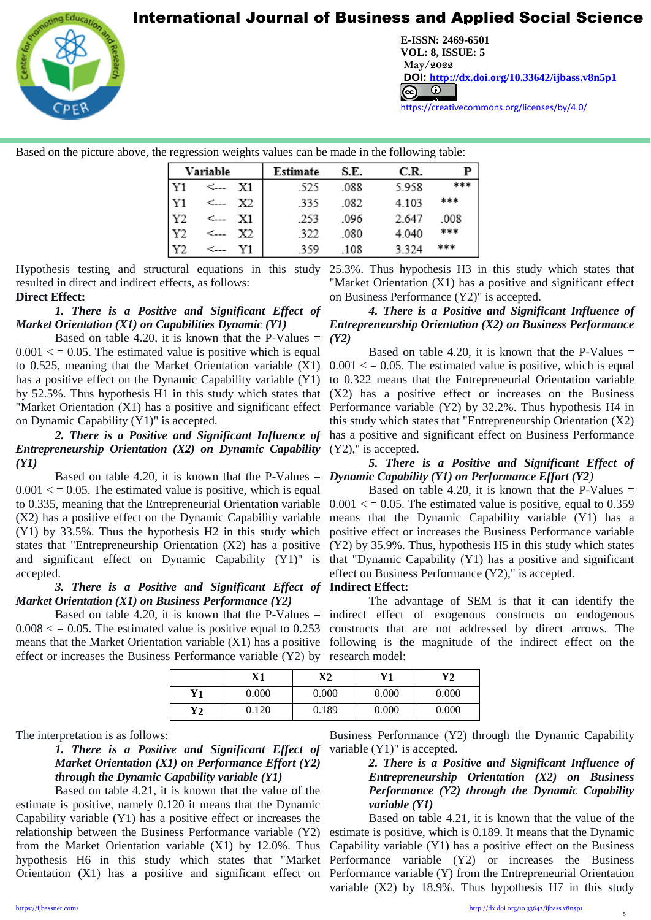

L

**CENTER FOR PROMOTION EDUCATION AND RESEARCH (CPER)** USA [www.cpernet.org](http://www.cpernet.org/)/www.cpernet.org/www.cpernet.org/www.cpernet.org/www.cpernet.org/www.cpernet.org/www.cpernet.org/www.cpernet.org/www.cpernet.org/www.cpernet.org/www.c **E-ISSN: 2469-6501 VOL: 8, ISSUE: 5 May/2022 DOI: <http://dx.doi.org/10.33642/ijbass.v8n5p1>**  <https://creativecommons.org/licenses/by/4.0/>

Based on the picture above, the regression weights values can be made in the following table:

| Variable |      | Estimate | S.E. | C.R. |       |      |
|----------|------|----------|------|------|-------|------|
| Y1       | ←    | X1       | .525 | .088 | 5.958 | 琼东东  |
| Y1       | <--- | Х2       | -335 | .082 | 4.103 | 东京京  |
| Y2       | <--- | X1       | .253 | .096 | 2.647 | .008 |
| Y2       |      | X2       | .322 | .080 | 4.040 | ***  |
|          |      |          | -359 | .108 | 3.324 | 在家家  |

resulted in direct and indirect effects, as follows: **Direct Effect:**

### *1. There is a Positive and Significant Effect of Market Orientation (X1) on Capabilities Dynamic (Y1)*

Based on table 4.20, it is known that the P-Values  $=$  $0.001 \leq$  = 0.05. The estimated value is positive which is equal to 0.525, meaning that the Market Orientation variable (X1) has a positive effect on the Dynamic Capability variable (Y1) by 52.5%. Thus hypothesis H1 in this study which states that on Dynamic Capability (Y1)" is accepted.

# *Entrepreneurship Orientation (X2) on Dynamic Capability (Y1)*

Based on table 4.20, it is known that the P-Values = *Dynamic Capability (Y1) on Performance Effort (Y2)*  $0.001 \leq 0.05$ . The estimated value is positive, which is equal to 0.335, meaning that the Entrepreneurial Orientation variable (X2) has a positive effect on the Dynamic Capability variable (Y1) by 33.5%. Thus the hypothesis H2 in this study which states that "Entrepreneurship Orientation (X2) has a positive and significant effect on Dynamic Capability (Y1)" is accepted.

### *3. There is a Positive and Significant Effect of*  **Indirect Effect:** *Market Orientation (X1) on Business Performance (Y2)*

effect or increases the Business Performance variable (Y2) by research model:

Hypothesis testing and structural equations in this study 25.3%. Thus hypothesis H3 in this study which states that "Market Orientation (X1) has a positive and significant effect on Business Performance (Y2)" is accepted.

### *4. There is a Positive and Significant Influence of Entrepreneurship Orientation (X2) on Business Performance (Y2)*

"Market Orientation (X1) has a positive and significant effect Performance variable (Y2) by 32.2%. Thus hypothesis H4 in 2. There is a Positive and Significant Influence of has a positive and significant effect on Business Performance Based on table 4.20, it is known that the P-Values  $=$  $0.001 \leq 0.05$ . The estimated value is positive, which is equal to 0.322 means that the Entrepreneurial Orientation variable (X2) has a positive effect or increases on the Business this study which states that "Entrepreneurship Orientation (X2) (Y2)," is accepted.

# *5. There is a Positive and Significant Effect of*

Based on table 4.20, it is known that the P-Values  $=$  $0.001 \leq 0.05$ . The estimated value is positive, equal to 0.359 means that the Dynamic Capability variable (Y1) has a positive effect or increases the Business Performance variable (Y2) by 35.9%. Thus, hypothesis H5 in this study which states that "Dynamic Capability (Y1) has a positive and significant effect on Business Performance (Y2)," is accepted.

Based on table 4.20, it is known that the P-Values = indirect effect of exogenous constructs on endogenous  $0.008 \leq 0.05$ . The estimated value is positive equal to 0.253 constructs that are not addressed by direct arrows. The means that the Market Orientation variable (X1) has a positive following is the magnitude of the indirect effect on the The advantage of SEM is that it can identify the

|               | X1    | X2    | Y1    | Y2    |
|---------------|-------|-------|-------|-------|
| Y1            | 0.000 | 0.000 | 0.000 | 0.000 |
| $\mathbf{Y2}$ | 0.120 | 0.189 | 0.000 | 0.000 |

The interpretation is as follows:

*1. There is a Positive and Significant Effect of Market Orientation (X1) on Performance Effort (Y2) through the Dynamic Capability variable (Y1)*

Based on table 4.21, it is known that the value of the estimate is positive, namely 0.120 it means that the Dynamic Capability variable (Y1) has a positive effect or increases the relationship between the Business Performance variable (Y2) from the Market Orientation variable (X1) by 12.0%. Thus hypothesis H6 in this study which states that "Market

Business Performance (Y2) through the Dynamic Capability variable (Y1)" is accepted.

### *2. There is a Positive and Significant Influence of Entrepreneurship Orientation (X2) on Business Performance (Y2) through the Dynamic Capability variable (Y1)*

Orientation (X1) has a positive and significant effect on Performance variable (Y) from the Entrepreneurial Orientation Based on table 4.21, it is known that the value of the estimate is positive, which is 0.189. It means that the Dynamic Capability variable (Y1) has a positive effect on the Business Performance variable (Y2) or increases the Business variable (X2) by 18.9%. Thus hypothesis H7 in this study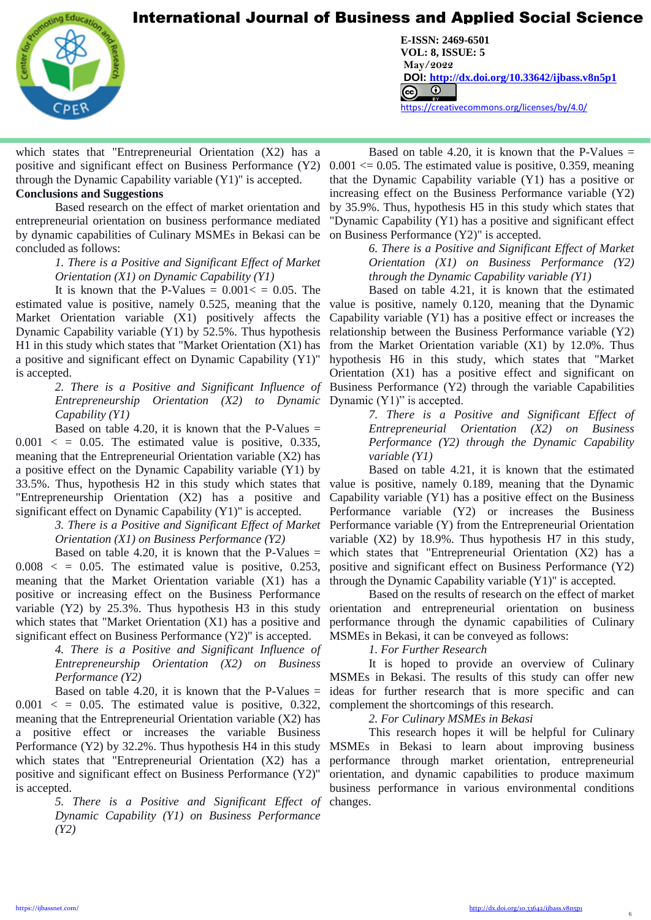

L

which states that "Entrepreneurial Orientation (X2) has a positive and significant effect on Business Performance (Y2) through the Dynamic Capability variable (Y1)" is accepted.

### **Conclusions and Suggestions**

Based research on the effect of market orientation and entrepreneurial orientation on business performance mediated by dynamic capabilities of Culinary MSMEs in Bekasi can be concluded as follows:

### *1. There is a Positive and Significant Effect of Market Orientation (X1) on Dynamic Capability (Y1)*

It is known that the P-Values  $= 0.001 \leq 0.05$ . The estimated value is positive, namely 0.525, meaning that the Market Orientation variable (X1) positively affects the Dynamic Capability variable (Y1) by 52.5%. Thus hypothesis H1 in this study which states that "Market Orientation (X1) has a positive and significant effect on Dynamic Capability (Y1)" is accepted.

> *Entrepreneurship Orientation (X2) to Dynamic*  Dynamic (Y1)" is accepted. *Capability (Y1)*

Based on table 4.20, it is known that the P-Values  $=$  $0.001 < 0.05$ . The estimated value is positive, 0.335, meaning that the Entrepreneurial Orientation variable (X2) has a positive effect on the Dynamic Capability variable (Y1) by 33.5%. Thus, hypothesis H2 in this study which states that "Entrepreneurship Orientation (X2) has a positive and significant effect on Dynamic Capability (Y1)" is accepted.

### *3. There is a Positive and Significant Effect of Market Orientation (X1) on Business Performance (Y2)*

Based on table 4.20, it is known that the P-Values  $=$  $0.008 <$  = 0.05. The estimated value is positive, 0.253, meaning that the Market Orientation variable (X1) has a positive or increasing effect on the Business Performance variable (Y2) by 25.3%. Thus hypothesis H3 in this study which states that "Market Orientation  $(X1)$  has a positive and significant effect on Business Performance (Y2)" is accepted.

> *4. There is a Positive and Significant Influence of Entrepreneurship Orientation (X2) on Business Performance (Y2)*

Based on table 4.20, it is known that the P-Values  $=$  $0.001 < 0.05$ . The estimated value is positive, 0.322, meaning that the Entrepreneurial Orientation variable (X2) has a positive effect or increases the variable Business Performance (Y2) by 32.2%. Thus hypothesis H4 in this study which states that "Entrepreneurial Orientation (X2) has a positive and significant effect on Business Performance (Y2)" is accepted.

> 5. There is a Positive and Significant Effect of changes. *Dynamic Capability (Y1) on Business Performance (Y2)*

**CENTER FOR PROMOTION EDUCATION AND RESEARCH (CPER)** USA [www.cpernet.org](http://www.cpernet.org/)/www.cpernet.org/www.cpernet.org/www.cpernet.org/www.cpernet.org/www.cpernet.org/www.cpernet.org/www.cpernet.org/www.cpernet.org/www.cpernet.org/www.c **E-ISSN: 2469-6501 VOL: 8, ISSUE: 5 May/2022 DOI: <http://dx.doi.org/10.33642/ijbass.v8n5p1>**  <https://creativecommons.org/licenses/by/4.0/>

> Based on table 4.20, it is known that the P-Values  $=$  $0.001 \leq 0.05$ . The estimated value is positive, 0.359, meaning that the Dynamic Capability variable (Y1) has a positive or increasing effect on the Business Performance variable (Y2) by 35.9%. Thus, hypothesis H5 in this study which states that "Dynamic Capability (Y1) has a positive and significant effect on Business Performance (Y2)" is accepted.

> > *6. There is a Positive and Significant Effect of Market Orientation (X1) on Business Performance (Y2) through the Dynamic Capability variable (Y1)*

*2. There is a Positive and Significant Influence of*  Business Performance (Y2) through the variable Capabilities Based on table 4.21, it is known that the estimated value is positive, namely 0.120, meaning that the Dynamic Capability variable (Y1) has a positive effect or increases the relationship between the Business Performance variable (Y2) from the Market Orientation variable (X1) by 12.0%. Thus hypothesis H6 in this study, which states that "Market Orientation (X1) has a positive effect and significant on

> *7. There is a Positive and Significant Effect of Entrepreneurial Orientation (X2) on Business Performance (Y2) through the Dynamic Capability variable (Y1)*

Based on table 4.21, it is known that the estimated value is positive, namely 0.189, meaning that the Dynamic Capability variable (Y1) has a positive effect on the Business Performance variable (Y2) or increases the Business Performance variable (Y) from the Entrepreneurial Orientation variable (X2) by 18.9%. Thus hypothesis H7 in this study, which states that "Entrepreneurial Orientation (X2) has a positive and significant effect on Business Performance (Y2) through the Dynamic Capability variable (Y1)" is accepted.

Based on the results of research on the effect of market orientation and entrepreneurial orientation on business performance through the dynamic capabilities of Culinary MSMEs in Bekasi, it can be conveyed as follows:

### *1. For Further Research*

It is hoped to provide an overview of Culinary MSMEs in Bekasi. The results of this study can offer new ideas for further research that is more specific and can complement the shortcomings of this research.

### *2. For Culinary MSMEs in Bekasi*

This research hopes it will be helpful for Culinary MSMEs in Bekasi to learn about improving business performance through market orientation, entrepreneurial orientation, and dynamic capabilities to produce maximum business performance in various environmental conditions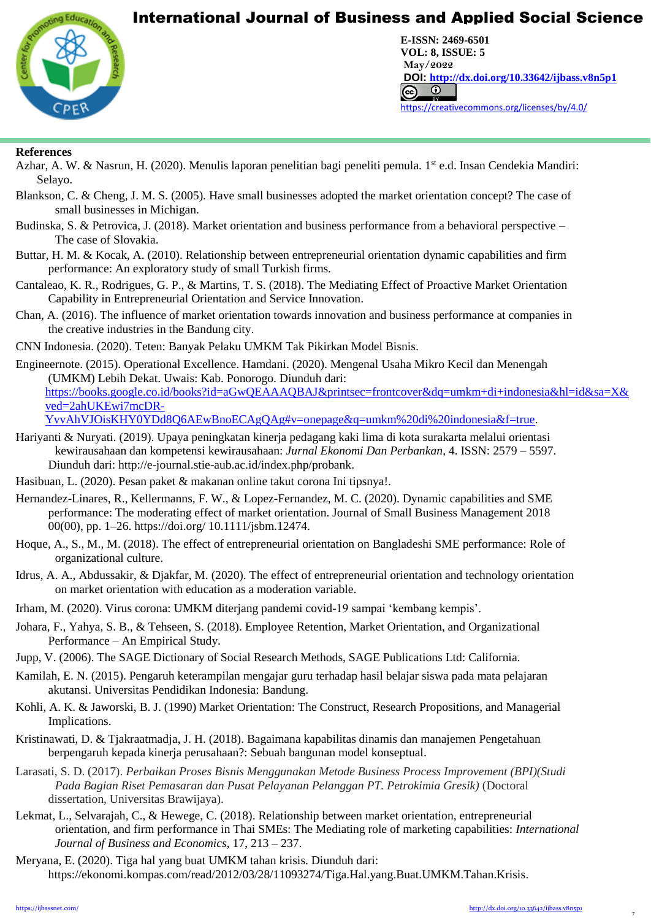

**CENTER FOR PROMOTION EDUCATION AND RESEARCH (CPER)** USA [www.cpernet.org](http://www.cpernet.org/)/www.cpernet.org/www.cpernet.org/www.cpernet.org/www.cpernet.org/www.cpernet.org/www.cpernet.org/www.cpernet.org/www.cpernet.org/www.cpernet.org/www.c **E-ISSN: 2469-6501 VOL: 8, ISSUE: 5 May/2022 DOI: <http://dx.doi.org/10.33642/ijbass.v8n5p1>**  <https://creativecommons.org/licenses/by/4.0/>

### **References**

L

- Azhar, A. W. & Nasrun, H. (2020). Menulis laporan penelitian bagi peneliti pemula. 1st e.d. Insan Cendekia Mandiri: Selayo.
- Blankson, C. & Cheng, J. M. S. (2005). Have small businesses adopted the market orientation concept? The case of small businesses in Michigan.
- Budinska, S. & Petrovica, J. (2018). Market orientation and business performance from a behavioral perspective The case of Slovakia.
- Buttar, H. M. & Kocak, A. (2010). Relationship between entrepreneurial orientation dynamic capabilities and firm performance: An exploratory study of small Turkish firms.
- Cantaleao, K. R., Rodrigues, G. P., & Martins, T. S. (2018). The Mediating Effect of Proactive Market Orientation Capability in Entrepreneurial Orientation and Service Innovation.
- Chan, A. (2016). The influence of market orientation towards innovation and business performance at companies in the creative industries in the Bandung city.
- CNN Indonesia. (2020). Teten: Banyak Pelaku UMKM Tak Pikirkan Model Bisnis.
- Engineernote. (2015). Operational Excellence. Hamdani. (2020). Mengenal Usaha Mikro Kecil dan Menengah (UMKM) Lebih Dekat. Uwais: Kab. Ponorogo. Diunduh dari: [https://books.google.co.id/books?id=aGwQEAAAQBAJ&printsec=frontcover&dq=umkm+di+indonesia&hl=id&sa=X&](https://books.google.co.id/books?id=aGwQEAAAQBAJ&printsec=frontcover&dq=umkm+di+indonesia&hl=id&sa=X&ved=2ahUKEwi7mcDR-YvvAhVJOisKHY0YDd8Q6AEwBnoECAgQAg#v=onepage&q=umkm%20di%20indonesia&f=true) [ved=2ahUKEwi7mcDR-](https://books.google.co.id/books?id=aGwQEAAAQBAJ&printsec=frontcover&dq=umkm+di+indonesia&hl=id&sa=X&ved=2ahUKEwi7mcDR-YvvAhVJOisKHY0YDd8Q6AEwBnoECAgQAg#v=onepage&q=umkm%20di%20indonesia&f=true)
	- [YvvAhVJOisKHY0YDd8Q6AEwBnoECAgQAg#v=onepage&q=umkm%20di%20indonesia&f=true.](https://books.google.co.id/books?id=aGwQEAAAQBAJ&printsec=frontcover&dq=umkm+di+indonesia&hl=id&sa=X&ved=2ahUKEwi7mcDR-YvvAhVJOisKHY0YDd8Q6AEwBnoECAgQAg#v=onepage&q=umkm%20di%20indonesia&f=true)
- Hariyanti & Nuryati. (2019). Upaya peningkatan kinerja pedagang kaki lima di kota surakarta melalui orientasi kewirausahaan dan kompetensi kewirausahaan: *Jurnal Ekonomi Dan Perbankan*, 4. ISSN: 2579 – 5597. Diunduh dari: [http://e-journal.stie-aub.ac.id/index.php/probank.](http://e-journal.stie-aub.ac.id/index.php/probank)
- Hasibuan, L. (2020). Pesan paket & makanan online takut corona Ini tipsnya!.
- Hernandez-Linares, R., Kellermanns, F. W., & Lopez-Fernandez, M. C. (2020). Dynamic capabilities and SME performance: The moderating effect of market orientation. Journal of Small Business Management 2018 00(00), pp. 1–26. https://doi.org/ 10.1111/jsbm.12474.
- Hoque, A., S., M., M. (2018). The effect of entrepreneurial orientation on Bangladeshi SME performance: Role of organizational culture.
- Idrus, A. A., Abdussakir, & Djakfar, M. (2020). The effect of entrepreneurial orientation and technology orientation on market orientation with education as a moderation variable.
- Irham, M. (2020). Virus corona: UMKM diterjang pandemi covid-19 sampai 'kembang kempis'.
- Johara, F., Yahya, S. B., & Tehseen, S. (2018). Employee Retention, Market Orientation, and Organizational Performance – An Empirical Study.
- Jupp, V. (2006). The SAGE Dictionary of Social Research Methods, SAGE Publications Ltd: California.
- Kamilah, E. N. (2015). Pengaruh keterampilan mengajar guru terhadap hasil belajar siswa pada mata pelajaran akutansi. Universitas Pendidikan Indonesia: Bandung.
- Kohli, A. K. & Jaworski, B. J. (1990) Market Orientation: The Construct, Research Propositions, and Managerial Implications.
- Kristinawati, D. & Tjakraatmadja, J. H. (2018). Bagaimana kapabilitas dinamis dan manajemen Pengetahuan berpengaruh kepada kinerja perusahaan?: Sebuah bangunan model konseptual.
- Larasati, S. D. (2017). *Perbaikan Proses Bisnis Menggunakan Metode Business Process Improvement (BPI)(Studi Pada Bagian Riset Pemasaran dan Pusat Pelayanan Pelanggan PT. Petrokimia Gresik)* (Doctoral dissertation, Universitas Brawijaya).
- Lekmat, L., Selvarajah, C., & Hewege, C. (2018). Relationship between market orientation, entrepreneurial orientation, and firm performance in Thai SMEs: The Mediating role of marketing capabilities: *International Journal of Business and Economics*, 17, 213 – 237.
- Meryana, E. (2020). Tiga hal yang buat UMKM tahan krisis. Diunduh dari: [https://ekonomi.kompas.com/read/2012/03/28/11093274/Tiga.Hal.yang.Buat.UMKM.Tahan.Krisis.](https://ekonomi.kompas.com/read/2012/03/28/11093274/Tiga.Hal.yang.Buat.UMKM.Tahan.Krisis)